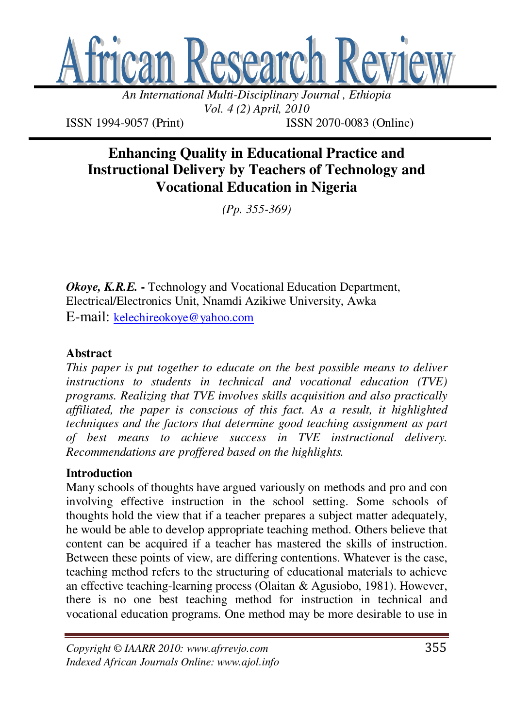

*An International Multi-Disciplinary Journal , Ethiopia Vol. 4 (2) April, 2010* 

ISSN 1994-9057 (Print) ISSN 2070-0083 (Online)

# **Enhancing Quality in Educational Practice and Instructional Delivery by Teachers of Technology and Vocational Education in Nigeria**

*(Pp. 355-369)* 

*Okoye, K.R.E.* - Technology and Vocational Education Department, Electrical/Electronics Unit, Nnamdi Azikiwe University, Awka E-mail: kelechireokoye@yahoo.com

### **Abstract**

*This paper is put together to educate on the best possible means to deliver instructions to students in technical and vocational education (TVE) programs. Realizing that TVE involves skills acquisition and also practically affiliated, the paper is conscious of this fact. As a result, it highlighted techniques and the factors that determine good teaching assignment as part of best means to achieve success in TVE instructional delivery. Recommendations are proffered based on the highlights.* 

### **Introduction**

Many schools of thoughts have argued variously on methods and pro and con involving effective instruction in the school setting. Some schools of thoughts hold the view that if a teacher prepares a subject matter adequately, he would be able to develop appropriate teaching method. Others believe that content can be acquired if a teacher has mastered the skills of instruction. Between these points of view, are differing contentions. Whatever is the case, teaching method refers to the structuring of educational materials to achieve an effective teaching-learning process (Olaitan & Agusiobo, 1981). However, there is no one best teaching method for instruction in technical and vocational education programs. One method may be more desirable to use in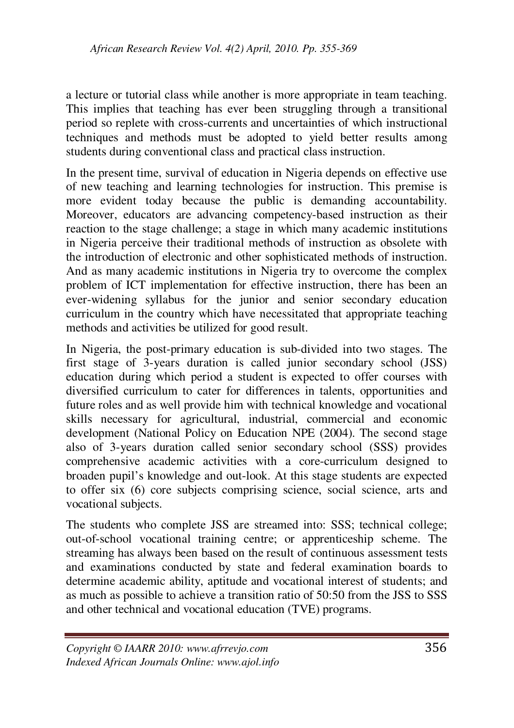a lecture or tutorial class while another is more appropriate in team teaching. This implies that teaching has ever been struggling through a transitional period so replete with cross-currents and uncertainties of which instructional techniques and methods must be adopted to yield better results among students during conventional class and practical class instruction.

In the present time, survival of education in Nigeria depends on effective use of new teaching and learning technologies for instruction. This premise is more evident today because the public is demanding accountability. Moreover, educators are advancing competency-based instruction as their reaction to the stage challenge; a stage in which many academic institutions in Nigeria perceive their traditional methods of instruction as obsolete with the introduction of electronic and other sophisticated methods of instruction. And as many academic institutions in Nigeria try to overcome the complex problem of ICT implementation for effective instruction, there has been an ever-widening syllabus for the junior and senior secondary education curriculum in the country which have necessitated that appropriate teaching methods and activities be utilized for good result.

In Nigeria, the post-primary education is sub-divided into two stages. The first stage of 3-years duration is called junior secondary school (JSS) education during which period a student is expected to offer courses with diversified curriculum to cater for differences in talents, opportunities and future roles and as well provide him with technical knowledge and vocational skills necessary for agricultural, industrial, commercial and economic development (National Policy on Education NPE (2004). The second stage also of 3-years duration called senior secondary school (SSS) provides comprehensive academic activities with a core-curriculum designed to broaden pupil's knowledge and out-look. At this stage students are expected to offer six (6) core subjects comprising science, social science, arts and vocational subjects.

The students who complete JSS are streamed into: SSS; technical college; out-of-school vocational training centre; or apprenticeship scheme. The streaming has always been based on the result of continuous assessment tests and examinations conducted by state and federal examination boards to determine academic ability, aptitude and vocational interest of students; and as much as possible to achieve a transition ratio of 50:50 from the JSS to SSS and other technical and vocational education (TVE) programs.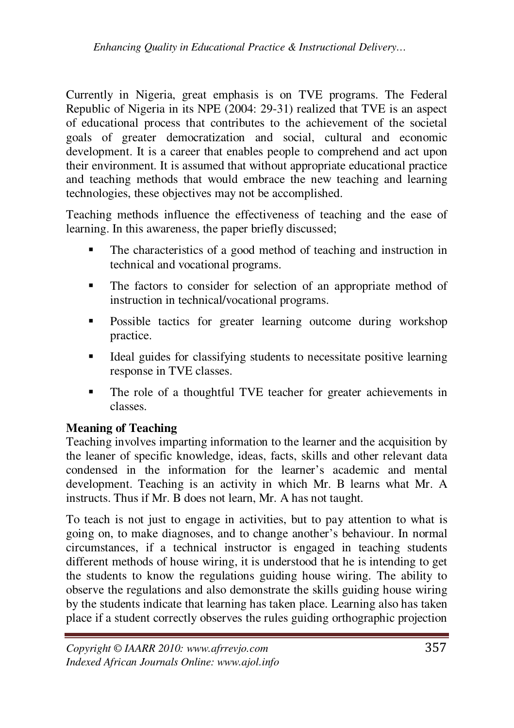Currently in Nigeria, great emphasis is on TVE programs. The Federal Republic of Nigeria in its NPE (2004: 29-31) realized that TVE is an aspect of educational process that contributes to the achievement of the societal goals of greater democratization and social, cultural and economic development. It is a career that enables people to comprehend and act upon their environment. It is assumed that without appropriate educational practice and teaching methods that would embrace the new teaching and learning technologies, these objectives may not be accomplished.

Teaching methods influence the effectiveness of teaching and the ease of learning. In this awareness, the paper briefly discussed;

- The characteristics of a good method of teaching and instruction in technical and vocational programs.
- The factors to consider for selection of an appropriate method of instruction in technical/vocational programs.
- **Possible tactics for greater learning outcome during workshop** practice.
- Ideal guides for classifying students to necessitate positive learning response in TVE classes.
- The role of a thoughtful TVE teacher for greater achievements in classes.

### **Meaning of Teaching**

Teaching involves imparting information to the learner and the acquisition by the leaner of specific knowledge, ideas, facts, skills and other relevant data condensed in the information for the learner's academic and mental development. Teaching is an activity in which Mr. B learns what Mr. A instructs. Thus if Mr. B does not learn, Mr. A has not taught.

To teach is not just to engage in activities, but to pay attention to what is going on, to make diagnoses, and to change another's behaviour. In normal circumstances, if a technical instructor is engaged in teaching students different methods of house wiring, it is understood that he is intending to get the students to know the regulations guiding house wiring. The ability to observe the regulations and also demonstrate the skills guiding house wiring by the students indicate that learning has taken place. Learning also has taken place if a student correctly observes the rules guiding orthographic projection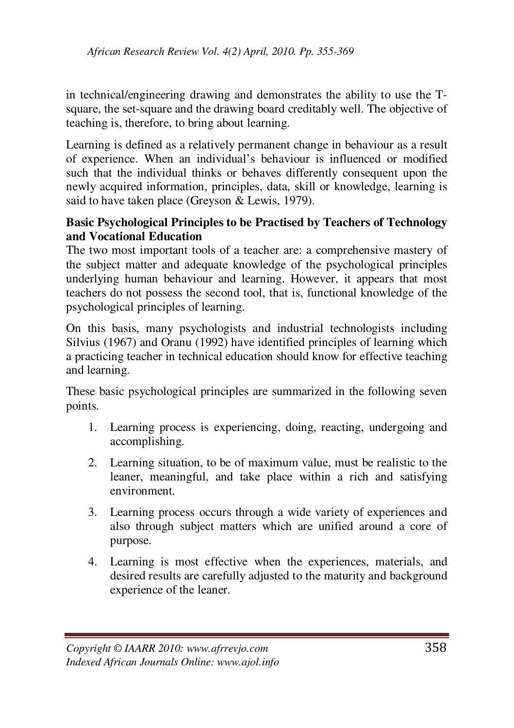in technical/engineering drawing and demonstrates the ability to use the Tsquare, the set-square and the drawing board creditably well. The objective of teaching is, therefore, to bring about learning.

Learning is defined as a relatively permanent change in behaviour as a result of experience. When an individual's behaviour is influenced or modified such that the individual thinks or behaves differently consequent upon the newly acquired information, principles, data, skill or knowledge, learning is said to have taken place (Greyson & Lewis, 1979).

### **Basic Psychological Principles to be Practised by Teachers of Technology and Vocational Education**

The two most important tools of a teacher are: a comprehensive mastery of the subject matter and adequate knowledge of the psychological principles underlying human behaviour and learning. However, it appears that most teachers do not possess the second tool, that is, functional knowledge of the psychological principles of learning.

On this basis, many psychologists and industrial technologists including Silvius (1967) and Oranu (1992) have identified principles of learning which a practicing teacher in technical education should know for effective teaching and learning.

These basic psychological principles are summarized in the following seven points.

- 1. Learning process is experiencing, doing, reacting, undergoing and accomplishing.
- 2. Learning situation, to be of maximum value, must be realistic to the leaner, meaningful, and take place within a rich and satisfying environment.
- 3. Learning process occurs through a wide variety of experiences and also through subject matters which are unified around a core of purpose.
- 4. Learning is most effective when the experiences, materials, and desired results are carefully adjusted to the maturity and background experience of the leaner.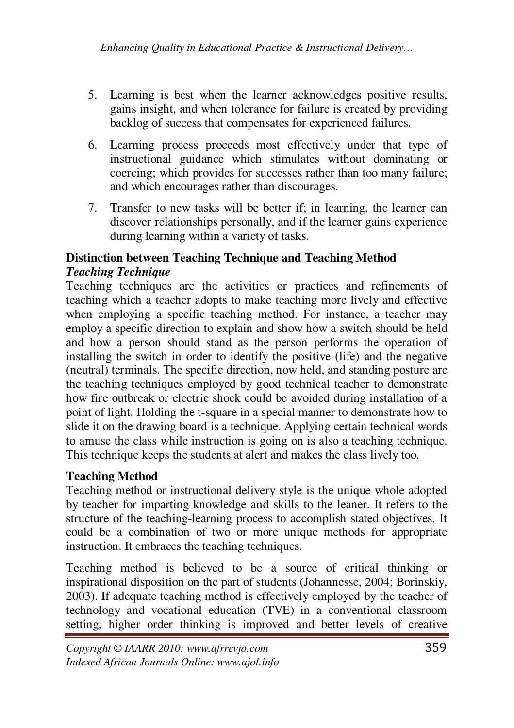- 5. Learning is best when the learner acknowledges positive results, gains insight, and when tolerance for failure is created by providing backlog of success that compensates for experienced failures.
- 6. Learning process proceeds most effectively under that type of instructional guidance which stimulates without dominating or coercing; which provides for successes rather than too many failure; and which encourages rather than discourages.
- 7. Transfer to new tasks will be better if; in learning, the learner can discover relationships personally, and if the learner gains experience during learning within a variety of tasks.

## **Distinction between Teaching Technique and Teaching Method**  *Teaching Technique*

Teaching techniques are the activities or practices and refinements of teaching which a teacher adopts to make teaching more lively and effective when employing a specific teaching method. For instance, a teacher may employ a specific direction to explain and show how a switch should be held and how a person should stand as the person performs the operation of installing the switch in order to identify the positive (life) and the negative (neutral) terminals. The specific direction, now held, and standing posture are the teaching techniques employed by good technical teacher to demonstrate how fire outbreak or electric shock could be avoided during installation of a point of light. Holding the t-square in a special manner to demonstrate how to slide it on the drawing board is a technique. Applying certain technical words to amuse the class while instruction is going on is also a teaching technique. This technique keeps the students at alert and makes the class lively too.

### **Teaching Method**

Teaching method or instructional delivery style is the unique whole adopted by teacher for imparting knowledge and skills to the leaner. It refers to the structure of the teaching-learning process to accomplish stated objectives. It could be a combination of two or more unique methods for appropriate instruction. It embraces the teaching techniques.

Teaching method is believed to be a source of critical thinking or inspirational disposition on the part of students (Johannesse, 2004; Borinskiy, 2003). If adequate teaching method is effectively employed by the teacher of technology and vocational education (TVE) in a conventional classroom setting, higher order thinking is improved and better levels of creative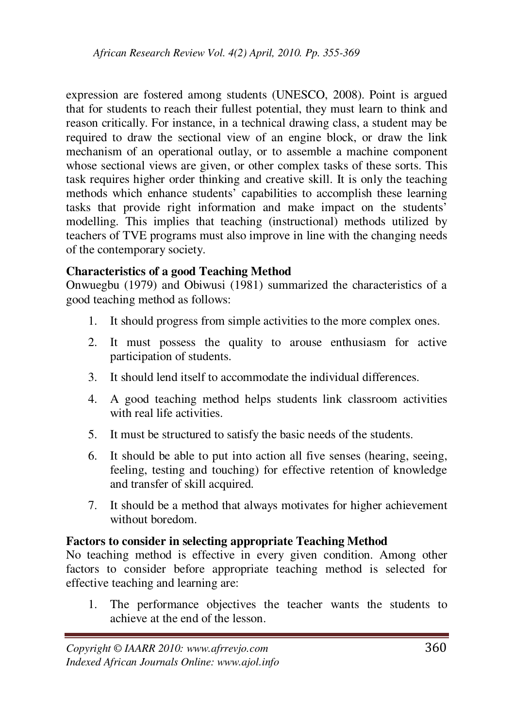expression are fostered among students (UNESCO, 2008). Point is argued that for students to reach their fullest potential, they must learn to think and reason critically. For instance, in a technical drawing class, a student may be required to draw the sectional view of an engine block, or draw the link mechanism of an operational outlay, or to assemble a machine component whose sectional views are given, or other complex tasks of these sorts. This task requires higher order thinking and creative skill. It is only the teaching methods which enhance students' capabilities to accomplish these learning tasks that provide right information and make impact on the students' modelling. This implies that teaching (instructional) methods utilized by teachers of TVE programs must also improve in line with the changing needs of the contemporary society.

### **Characteristics of a good Teaching Method**

Onwuegbu (1979) and Obiwusi (1981) summarized the characteristics of a good teaching method as follows:

- 1. It should progress from simple activities to the more complex ones.
- 2. It must possess the quality to arouse enthusiasm for active participation of students.
- 3. It should lend itself to accommodate the individual differences.
- 4. A good teaching method helps students link classroom activities with real life activities.
- 5. It must be structured to satisfy the basic needs of the students.
- 6. It should be able to put into action all five senses (hearing, seeing, feeling, testing and touching) for effective retention of knowledge and transfer of skill acquired.
- 7. It should be a method that always motivates for higher achievement without boredom.

### **Factors to consider in selecting appropriate Teaching Method**

No teaching method is effective in every given condition. Among other factors to consider before appropriate teaching method is selected for effective teaching and learning are:

1. The performance objectives the teacher wants the students to achieve at the end of the lesson.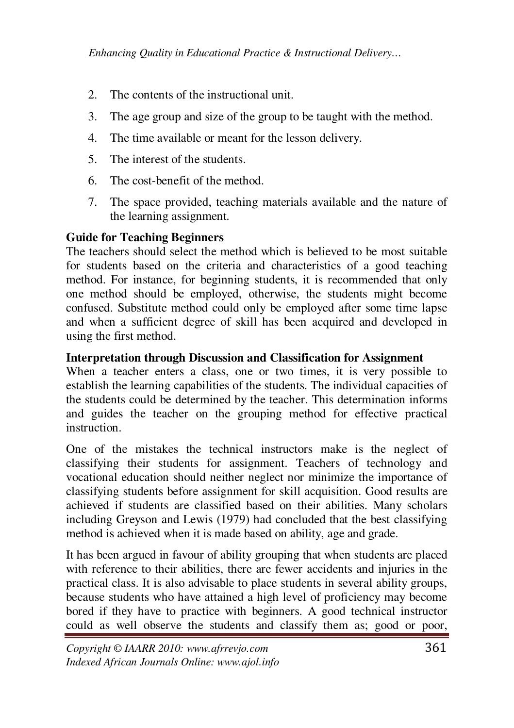- 2. The contents of the instructional unit.
- 3. The age group and size of the group to be taught with the method.
- 4. The time available or meant for the lesson delivery.
- 5. The interest of the students.
- 6. The cost-benefit of the method.
- 7. The space provided, teaching materials available and the nature of the learning assignment.

#### **Guide for Teaching Beginners**

The teachers should select the method which is believed to be most suitable for students based on the criteria and characteristics of a good teaching method. For instance, for beginning students, it is recommended that only one method should be employed, otherwise, the students might become confused. Substitute method could only be employed after some time lapse and when a sufficient degree of skill has been acquired and developed in using the first method.

#### **Interpretation through Discussion and Classification for Assignment**

When a teacher enters a class, one or two times, it is very possible to establish the learning capabilities of the students. The individual capacities of the students could be determined by the teacher. This determination informs and guides the teacher on the grouping method for effective practical instruction.

One of the mistakes the technical instructors make is the neglect of classifying their students for assignment. Teachers of technology and vocational education should neither neglect nor minimize the importance of classifying students before assignment for skill acquisition. Good results are achieved if students are classified based on their abilities. Many scholars including Greyson and Lewis (1979) had concluded that the best classifying method is achieved when it is made based on ability, age and grade.

It has been argued in favour of ability grouping that when students are placed with reference to their abilities, there are fewer accidents and injuries in the practical class. It is also advisable to place students in several ability groups, because students who have attained a high level of proficiency may become bored if they have to practice with beginners. A good technical instructor could as well observe the students and classify them as; good or poor,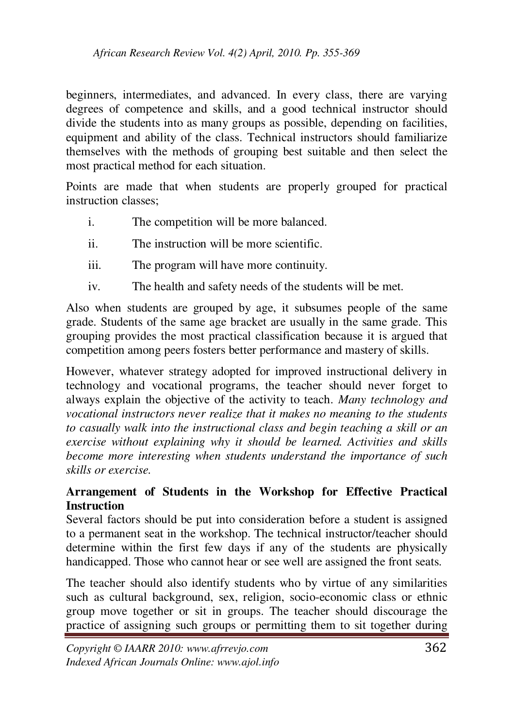beginners, intermediates, and advanced. In every class, there are varying degrees of competence and skills, and a good technical instructor should divide the students into as many groups as possible, depending on facilities, equipment and ability of the class. Technical instructors should familiarize themselves with the methods of grouping best suitable and then select the most practical method for each situation.

Points are made that when students are properly grouped for practical instruction classes;

- i. The competition will be more balanced.
- ii. The instruction will be more scientific.
- iii. The program will have more continuity.
- iv. The health and safety needs of the students will be met.

Also when students are grouped by age, it subsumes people of the same grade. Students of the same age bracket are usually in the same grade. This grouping provides the most practical classification because it is argued that competition among peers fosters better performance and mastery of skills.

However, whatever strategy adopted for improved instructional delivery in technology and vocational programs, the teacher should never forget to always explain the objective of the activity to teach. *Many technology and vocational instructors never realize that it makes no meaning to the students to casually walk into the instructional class and begin teaching a skill or an exercise without explaining why it should be learned. Activities and skills become more interesting when students understand the importance of such skills or exercise.*

### **Arrangement of Students in the Workshop for Effective Practical Instruction**

Several factors should be put into consideration before a student is assigned to a permanent seat in the workshop. The technical instructor/teacher should determine within the first few days if any of the students are physically handicapped. Those who cannot hear or see well are assigned the front seats.

The teacher should also identify students who by virtue of any similarities such as cultural background, sex, religion, socio-economic class or ethnic group move together or sit in groups. The teacher should discourage the practice of assigning such groups or permitting them to sit together during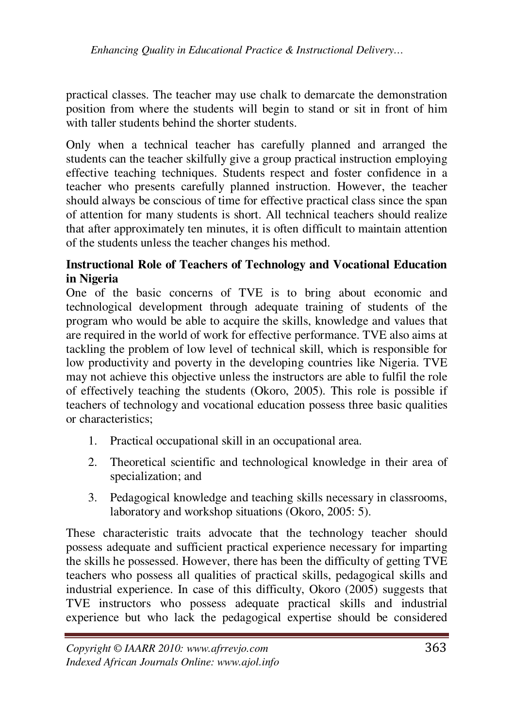practical classes. The teacher may use chalk to demarcate the demonstration position from where the students will begin to stand or sit in front of him with taller students behind the shorter students.

Only when a technical teacher has carefully planned and arranged the students can the teacher skilfully give a group practical instruction employing effective teaching techniques. Students respect and foster confidence in a teacher who presents carefully planned instruction. However, the teacher should always be conscious of time for effective practical class since the span of attention for many students is short. All technical teachers should realize that after approximately ten minutes, it is often difficult to maintain attention of the students unless the teacher changes his method.

### **Instructional Role of Teachers of Technology and Vocational Education in Nigeria**

One of the basic concerns of TVE is to bring about economic and technological development through adequate training of students of the program who would be able to acquire the skills, knowledge and values that are required in the world of work for effective performance. TVE also aims at tackling the problem of low level of technical skill, which is responsible for low productivity and poverty in the developing countries like Nigeria. TVE may not achieve this objective unless the instructors are able to fulfil the role of effectively teaching the students (Okoro, 2005). This role is possible if teachers of technology and vocational education possess three basic qualities or characteristics;

- 1. Practical occupational skill in an occupational area.
- 2. Theoretical scientific and technological knowledge in their area of specialization; and
- 3. Pedagogical knowledge and teaching skills necessary in classrooms, laboratory and workshop situations (Okoro, 2005: 5).

These characteristic traits advocate that the technology teacher should possess adequate and sufficient practical experience necessary for imparting the skills he possessed. However, there has been the difficulty of getting TVE teachers who possess all qualities of practical skills, pedagogical skills and industrial experience. In case of this difficulty, Okoro (2005) suggests that TVE instructors who possess adequate practical skills and industrial experience but who lack the pedagogical expertise should be considered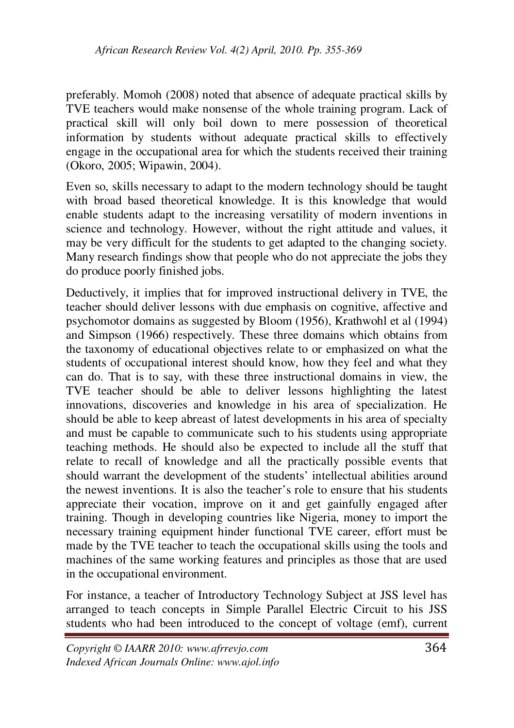preferably. Momoh (2008) noted that absence of adequate practical skills by TVE teachers would make nonsense of the whole training program. Lack of practical skill will only boil down to mere possession of theoretical information by students without adequate practical skills to effectively engage in the occupational area for which the students received their training (Okoro, 2005; Wipawin, 2004).

Even so, skills necessary to adapt to the modern technology should be taught with broad based theoretical knowledge. It is this knowledge that would enable students adapt to the increasing versatility of modern inventions in science and technology. However, without the right attitude and values, it may be very difficult for the students to get adapted to the changing society. Many research findings show that people who do not appreciate the jobs they do produce poorly finished jobs.

Deductively, it implies that for improved instructional delivery in TVE, the teacher should deliver lessons with due emphasis on cognitive, affective and psychomotor domains as suggested by Bloom (1956), Krathwohl et al (1994) and Simpson (1966) respectively. These three domains which obtains from the taxonomy of educational objectives relate to or emphasized on what the students of occupational interest should know, how they feel and what they can do. That is to say, with these three instructional domains in view, the TVE teacher should be able to deliver lessons highlighting the latest innovations, discoveries and knowledge in his area of specialization. He should be able to keep abreast of latest developments in his area of specialty and must be capable to communicate such to his students using appropriate teaching methods. He should also be expected to include all the stuff that relate to recall of knowledge and all the practically possible events that should warrant the development of the students' intellectual abilities around the newest inventions. It is also the teacher's role to ensure that his students appreciate their vocation, improve on it and get gainfully engaged after training. Though in developing countries like Nigeria, money to import the necessary training equipment hinder functional TVE career, effort must be made by the TVE teacher to teach the occupational skills using the tools and machines of the same working features and principles as those that are used in the occupational environment.

For instance, a teacher of Introductory Technology Subject at JSS level has arranged to teach concepts in Simple Parallel Electric Circuit to his JSS students who had been introduced to the concept of voltage (emf), current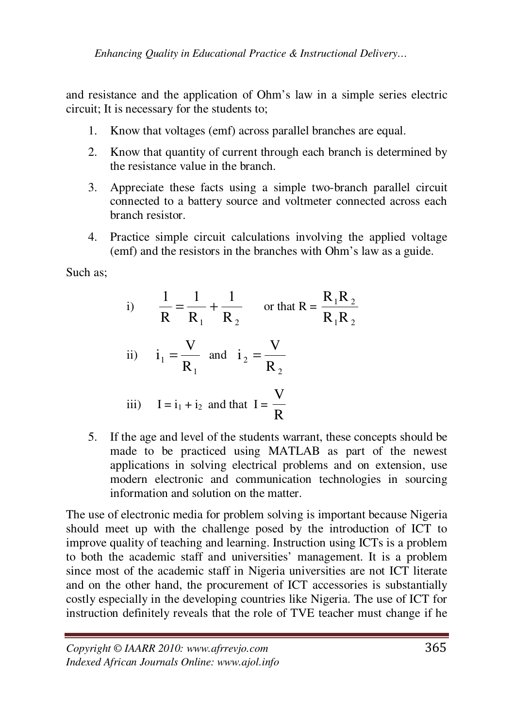and resistance and the application of Ohm's law in a simple series electric circuit; It is necessary for the students to;

- 1. Know that voltages (emf) across parallel branches are equal.
- 2. Know that quantity of current through each branch is determined by the resistance value in the branch.
- 3. Appreciate these facts using a simple two-branch parallel circuit connected to a battery source and voltmeter connected across each branch resistor.
- 4. Practice simple circuit calculations involving the applied voltage (emf) and the resistors in the branches with Ohm's law as a guide.

Such as;

i) 
$$
\frac{1}{R} = \frac{1}{R_1} + \frac{1}{R_2}
$$
 or that  $R = \frac{R_1 R_2}{R_1 R_2}$   
\nii)  $i_1 = \frac{V}{R_1}$  and  $i_2 = \frac{V}{R_2}$   
\niii)  $I = i_1 + i_2$  and that  $I = \frac{V}{R}$ 

5. If the age and level of the students warrant, these concepts should be made to be practiced using MATLAB as part of the newest applications in solving electrical problems and on extension, use modern electronic and communication technologies in sourcing information and solution on the matter.

The use of electronic media for problem solving is important because Nigeria should meet up with the challenge posed by the introduction of ICT to improve quality of teaching and learning. Instruction using ICTs is a problem to both the academic staff and universities' management. It is a problem since most of the academic staff in Nigeria universities are not ICT literate and on the other hand, the procurement of ICT accessories is substantially costly especially in the developing countries like Nigeria. The use of ICT for instruction definitely reveals that the role of TVE teacher must change if he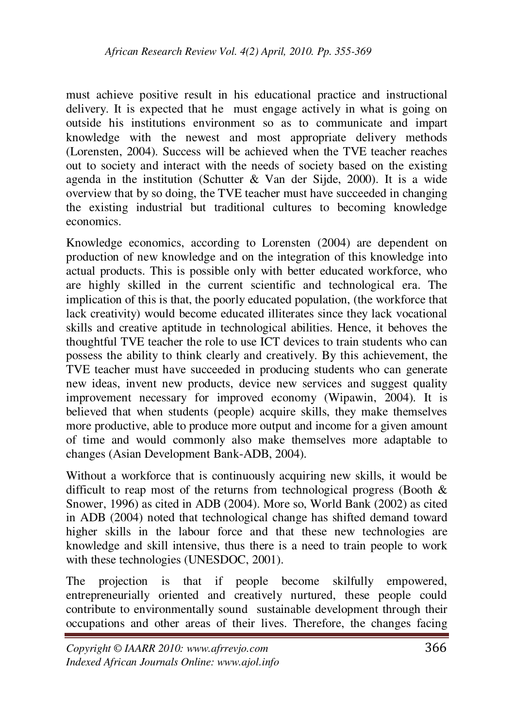must achieve positive result in his educational practice and instructional delivery. It is expected that he must engage actively in what is going on outside his institutions environment so as to communicate and impart knowledge with the newest and most appropriate delivery methods (Lorensten, 2004). Success will be achieved when the TVE teacher reaches out to society and interact with the needs of society based on the existing agenda in the institution (Schutter & Van der Sijde, 2000). It is a wide overview that by so doing, the TVE teacher must have succeeded in changing the existing industrial but traditional cultures to becoming knowledge economics.

Knowledge economics, according to Lorensten (2004) are dependent on production of new knowledge and on the integration of this knowledge into actual products. This is possible only with better educated workforce, who are highly skilled in the current scientific and technological era. The implication of this is that, the poorly educated population, (the workforce that lack creativity) would become educated illiterates since they lack vocational skills and creative aptitude in technological abilities. Hence, it behoves the thoughtful TVE teacher the role to use ICT devices to train students who can possess the ability to think clearly and creatively. By this achievement, the TVE teacher must have succeeded in producing students who can generate new ideas, invent new products, device new services and suggest quality improvement necessary for improved economy (Wipawin, 2004). It is believed that when students (people) acquire skills, they make themselves more productive, able to produce more output and income for a given amount of time and would commonly also make themselves more adaptable to changes (Asian Development Bank-ADB, 2004).

Without a workforce that is continuously acquiring new skills, it would be difficult to reap most of the returns from technological progress (Booth  $\&$ Snower, 1996) as cited in ADB (2004). More so, World Bank (2002) as cited in ADB (2004) noted that technological change has shifted demand toward higher skills in the labour force and that these new technologies are knowledge and skill intensive, thus there is a need to train people to work with these technologies (UNESDOC, 2001).

The projection is that if people become skilfully empowered, entrepreneurially oriented and creatively nurtured, these people could contribute to environmentally sound sustainable development through their occupations and other areas of their lives. Therefore, the changes facing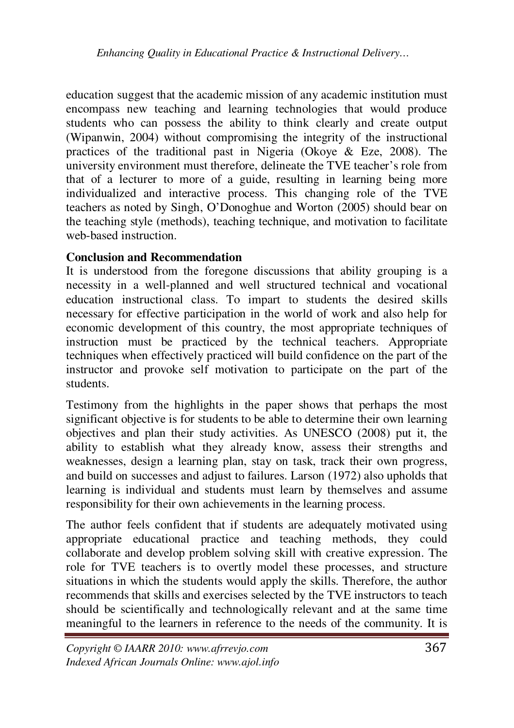education suggest that the academic mission of any academic institution must encompass new teaching and learning technologies that would produce students who can possess the ability to think clearly and create output (Wipanwin, 2004) without compromising the integrity of the instructional practices of the traditional past in Nigeria (Okoye & Eze, 2008). The university environment must therefore, delineate the TVE teacher's role from that of a lecturer to more of a guide, resulting in learning being more individualized and interactive process. This changing role of the TVE teachers as noted by Singh, O'Donoghue and Worton (2005) should bear on the teaching style (methods), teaching technique, and motivation to facilitate web-based instruction

### **Conclusion and Recommendation**

It is understood from the foregone discussions that ability grouping is a necessity in a well-planned and well structured technical and vocational education instructional class. To impart to students the desired skills necessary for effective participation in the world of work and also help for economic development of this country, the most appropriate techniques of instruction must be practiced by the technical teachers. Appropriate techniques when effectively practiced will build confidence on the part of the instructor and provoke self motivation to participate on the part of the students.

Testimony from the highlights in the paper shows that perhaps the most significant objective is for students to be able to determine their own learning objectives and plan their study activities. As UNESCO (2008) put it, the ability to establish what they already know, assess their strengths and weaknesses, design a learning plan, stay on task, track their own progress, and build on successes and adjust to failures. Larson (1972) also upholds that learning is individual and students must learn by themselves and assume responsibility for their own achievements in the learning process.

The author feels confident that if students are adequately motivated using appropriate educational practice and teaching methods, they could collaborate and develop problem solving skill with creative expression. The role for TVE teachers is to overtly model these processes, and structure situations in which the students would apply the skills. Therefore, the author recommends that skills and exercises selected by the TVE instructors to teach should be scientifically and technologically relevant and at the same time meaningful to the learners in reference to the needs of the community. It is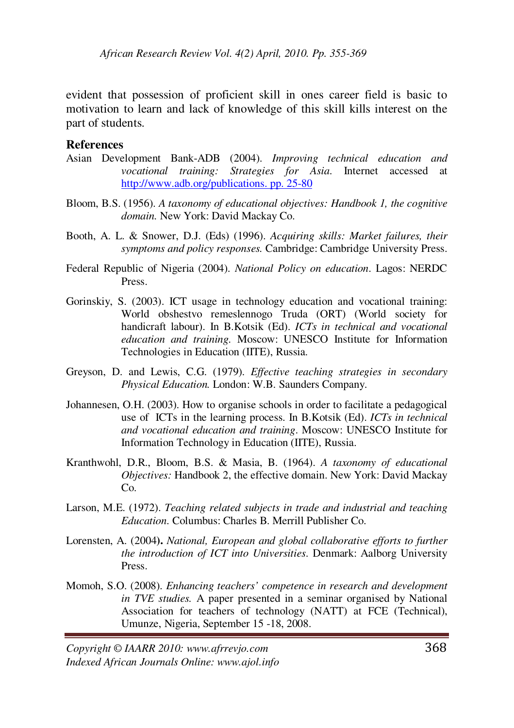evident that possession of proficient skill in ones career field is basic to motivation to learn and lack of knowledge of this skill kills interest on the part of students.

#### **References**

- Asian Development Bank-ADB (2004). *Improving technical education and vocational training: Strategies for Asia*. Internet accessed at http://www.adb.org/publications. pp. 25-80
- Bloom, B.S. (1956). *A taxonomy of educational objectives: Handbook 1, the cognitive domain.* New York: David Mackay Co.
- Booth, A. L. & Snower, D.J. (Eds) (1996). *Acquiring skills: Market failures, their symptoms and policy responses.* Cambridge: Cambridge University Press.
- Federal Republic of Nigeria (2004). *National Policy on education*. Lagos: NERDC Press.
- Gorinskiy, S. (2003). ICT usage in technology education and vocational training: World obshestvo remeslennogo Truda (ORT) (World society for handicraft labour). In B.Kotsik (Ed). *ICTs in technical and vocational education and training.* Moscow: UNESCO Institute for Information Technologies in Education (IITE), Russia.
- Greyson, D. and Lewis, C.G. (1979). *Effective teaching strategies in secondary Physical Education.* London: W.B. Saunders Company.
- Johannesen, O.H. (2003). How to organise schools in order to facilitate a pedagogical use of ICTs in the learning process. In B.Kotsik (Ed). *ICTs in technical and vocational education and training*. Moscow: UNESCO Institute for Information Technology in Education (IITE), Russia.
- Kranthwohl, D.R., Bloom, B.S. & Masia, B. (1964). *A taxonomy of educational Objectives:* Handbook 2, the effective domain. New York: David Mackay Co.
- Larson, M.E. (1972). *Teaching related subjects in trade and industrial and teaching Education*. Columbus: Charles B. Merrill Publisher Co.
- Lorensten, A. (2004**).** *National, European and global collaborative efforts to further the introduction of ICT into Universities*. Denmark: Aalborg University Press.
- Momoh, S.O. (2008). *Enhancing teachers' competence in research and development in TVE studies.* A paper presented in a seminar organised by National Association for teachers of technology (NATT) at FCE (Technical), Umunze, Nigeria, September 15 -18, 2008.